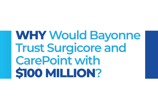## **WHY Would Bayonne Trust Surgicore and CarePoint with \$100 MILLION?**